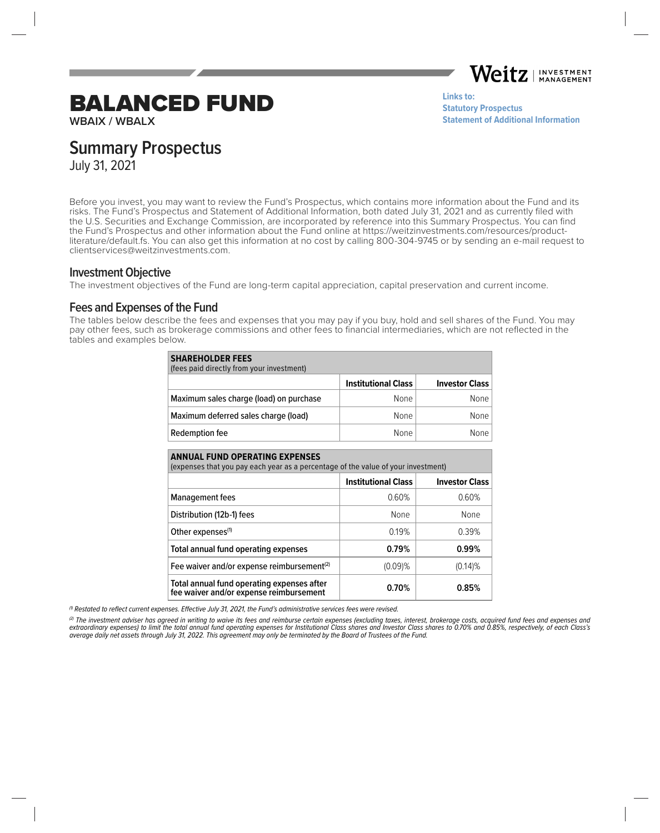Weitz. **INVESTMENT MANAGEMENT** 

**[Statement of Additional Information](https://weitzinvestments.com/sitefiles/live/documents/funds/sai/WeitzSAI.pdf)**

**Links to:**

**[Statutory Prospectus](https://weitzinvestments.com/sitefiles/live/documents/funds/prospectuses/WeitzFundsProspectus.pdf)**

# BALANCED FUND

**WBAIX / WBALX**

**Summary Prospectus**

July 31, 2021

Before you invest, you may want to review the Fund's Prospectus, which contains more information about the Fund and its risks. The Fund's Prospectus and Statement of Additional Information, both dated July 31, 2021 and as currently filed with the U.S. Securities and Exchange Commission, are incorporated by reference into this Summary Prospectus. You can find the Fund's Prospectus and other information about the Fund online at https://weitzinvestments.com/resources/productliterature/default.fs. You can also get this information at no cost by calling 800-304-9745 or by sending an e-mail request to clientservices@weitzinvestments.com.

## **Investment Objective**

The investment objectives of the Fund are long-term capital appreciation, capital preservation and current income.

# **Fees and Expenses of the Fund**

The tables below describe the fees and expenses that you may pay if you buy, hold and sell shares of the Fund. You may pay other fees, such as brokerage commissions and other fees to financial intermediaries, which are not reflected in the tables and examples below.

| <b>SHAREHOLDER FEES</b><br>(fees paid directly from your investment) |                            |                       |  |  |
|----------------------------------------------------------------------|----------------------------|-----------------------|--|--|
|                                                                      | <b>Institutional Class</b> | <b>Investor Class</b> |  |  |
| Maximum sales charge (load) on purchase                              | None                       | None                  |  |  |
| Maximum deferred sales charge (load)                                 | None                       | None                  |  |  |
| Redemption fee                                                       | <b>None</b>                | None                  |  |  |

| <b>ANNUAL FUND OPERATING EXPENSES</b><br>(expenses that you pay each year as a percentage of the value of your investment) |                            |                       |  |  |  |
|----------------------------------------------------------------------------------------------------------------------------|----------------------------|-----------------------|--|--|--|
|                                                                                                                            | <b>Institutional Class</b> | <b>Investor Class</b> |  |  |  |
| <b>Management fees</b>                                                                                                     | 0.60%                      | 0.60%                 |  |  |  |
| Distribution (12b-1) fees                                                                                                  | None                       | None                  |  |  |  |
| Other expenses <sup>(1)</sup>                                                                                              | 0.19%                      | 0.39%                 |  |  |  |
| Total annual fund operating expenses                                                                                       | 0.79%                      | 0.99%                 |  |  |  |
| Fee waiver and/or expense reimbursement <sup>(2)</sup>                                                                     | $(0.09)\%$                 | $(0.14)$ %            |  |  |  |
| Total annual fund operating expenses after<br>fee waiver and/or expense reimbursement                                      | 0.70%                      | 0.85%                 |  |  |  |

 $<sup>(1)</sup>$  Restated to reflect current expenses. Effective July 31, 2021, the Fund's administrative services fees were revised.</sup>

(2) The investment adviser has agreed in writing to waive its fees and reimburse certain expenses (excluding taxes, interest, brokerage costs, acquired fund fees and expenses and extraordinary expenses) to limit the total annual fund operating expenses for Institutional Class shares and Investor Class shares to 0.70% and 0.85%, respectively, of each Class's average daily net assets through July 31, 2022. This agreement may only be terminated by the Board of Trustees of the Fund.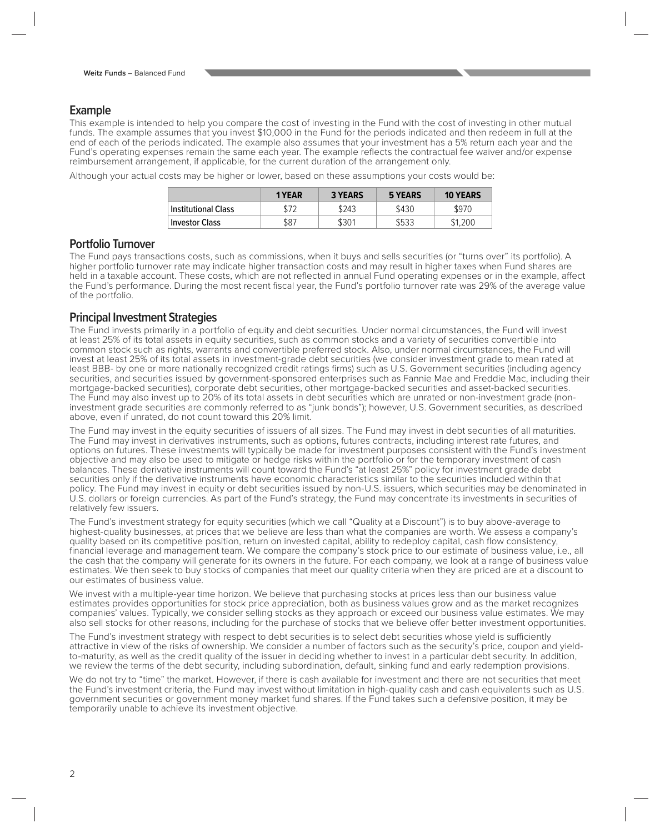# **Example**

This example is intended to help you compare the cost of investing in the Fund with the cost of investing in other mutual funds. The example assumes that you invest \$10,000 in the Fund for the periods indicated and then redeem in full at the end of each of the periods indicated. The example also assumes that your investment has a 5% return each year and the Fund's operating expenses remain the same each year. The example reflects the contractual fee waiver and/or expense reimbursement arrangement, if applicable, for the current duration of the arrangement only.

Although your actual costs may be higher or lower, based on these assumptions your costs would be:

|                            | 1 YEAR | <b>3 YEARS</b> | 5 YEARS | <b>10 YEARS</b> |
|----------------------------|--------|----------------|---------|-----------------|
| <b>Institutional Class</b> |        | \$243          | \$430   | \$970           |
| <b>Investor Class</b>      | \$87   | \$301          | \$533   | \$1.200         |

## **Portfolio Turnover**

The Fund pays transactions costs, such as commissions, when it buys and sells securities (or "turns over" its portfolio). A higher portfolio turnover rate may indicate higher transaction costs and may result in higher taxes when Fund shares are held in a taxable account. These costs, which are not reflected in annual Fund operating expenses or in the example, affect the Fund's performance. During the most recent fiscal year, the Fund's portfolio turnover rate was 29% of the average value of the portfolio.

# **Principal Investment Strategies**

The Fund invests primarily in a portfolio of equity and debt securities. Under normal circumstances, the Fund will invest at least 25% of its total assets in equity securities, such as common stocks and a variety of securities convertible into common stock such as rights, warrants and convertible preferred stock. Also, under normal circumstances, the Fund will invest at least 25% of its total assets in investment-grade debt securities (we consider investment grade to mean rated at least BBB- by one or more nationally recognized credit ratings firms) such as U.S. Government securities (including agency securities, and securities issued by government-sponsored enterprises such as Fannie Mae and Freddie Mac, including their mortgage-backed securities), corporate debt securities, other mortgage-backed securities and asset-backed securities. The Fund may also invest up to 20% of its total assets in debt securities which are unrated or non-investment grade (noninvestment grade securities are commonly referred to as "junk bonds"); however, U.S. Government securities, as described above, even if unrated, do not count toward this 20% limit.

The Fund may invest in the equity securities of issuers of all sizes. The Fund may invest in debt securities of all maturities. The Fund may invest in derivatives instruments, such as options, futures contracts, including interest rate futures, and options on futures. These investments will typically be made for investment purposes consistent with the Fund's investment objective and may also be used to mitigate or hedge risks within the portfolio or for the temporary investment of cash balances. These derivative instruments will count toward the Fund's "at least 25%" policy for investment grade debt securities only if the derivative instruments have economic characteristics similar to the securities included within that policy. The Fund may invest in equity or debt securities issued by non-U.S. issuers, which securities may be denominated in U.S. dollars or foreign currencies. As part of the Fund's strategy, the Fund may concentrate its investments in securities of relatively few issuers.

The Fund's investment strategy for equity securities (which we call "Quality at a Discount") is to buy above-average to highest-quality businesses, at prices that we believe are less than what the companies are worth. We assess a company's quality based on its competitive position, return on invested capital, ability to redeploy capital, cash flow consistency, financial leverage and management team. We compare the company's stock price to our estimate of business value, i.e., all the cash that the company will generate for its owners in the future. For each company, we look at a range of business value estimates. We then seek to buy stocks of companies that meet our quality criteria when they are priced are at a discount to our estimates of business value.

We invest with a multiple-year time horizon. We believe that purchasing stocks at prices less than our business value estimates provides opportunities for stock price appreciation, both as business values grow and as the market recognizes companies' values. Typically, we consider selling stocks as they approach or exceed our business value estimates. We may also sell stocks for other reasons, including for the purchase of stocks that we believe offer better investment opportunities.

The Fund's investment strategy with respect to debt securities is to select debt securities whose yield is sufficiently attractive in view of the risks of ownership. We consider a number of factors such as the security's price, coupon and yieldto-maturity, as well as the credit quality of the issuer in deciding whether to invest in a particular debt security. In addition, we review the terms of the debt security, including subordination, default, sinking fund and early redemption provisions.

We do not try to "time" the market. However, if there is cash available for investment and there are not securities that meet the Fund's investment criteria, the Fund may invest without limitation in high-quality cash and cash equivalents such as U.S. government securities or government money market fund shares. If the Fund takes such a defensive position, it may be temporarily unable to achieve its investment objective.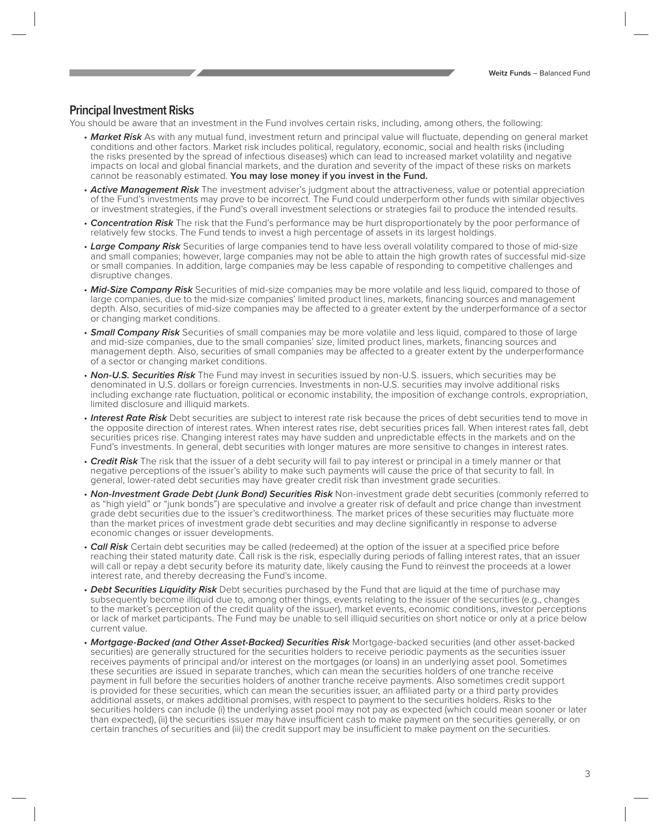# **Principal Investment Risks**

You should be aware that an investment in the Fund involves certain risks, including, among others, the following:

- Market Risk As with any mutual fund, investment return and principal value will fluctuate, depending on general market conditions and other factors. Market risk includes political, regulatory, economic, social and health risks (including the risks presented by the spread of infectious diseases) which can lead to increased market volatility and negative impacts on local and global financial markets, and the duration and severity of the impact of these risks on markets cannot be reasonably estimated. **You may lose money if you invest in the Fund.**
- **Active Management Risk** The investment adviser's judgment about the attractiveness, value or potential appreciation of the Fund's investments may prove to be incorrect. The Fund could underperform other funds with similar objectives or investment strategies, if the Fund's overall investment selections or strategies fail to produce the intended results.
- **Concentration Risk** The risk that the Fund's performance may be hurt disproportionately by the poor performance of relatively few stocks. The Fund tends to invest a high percentage of assets in its largest holdings.
- **Large Company Risk** Securities of large companies tend to have less overall volatility compared to those of mid-size and small companies; however, large companies may not be able to attain the high growth rates of successful mid-size or small companies. In addition, large companies may be less capable of responding to competitive challenges and disruptive changes.
- **Mid-Size Company Risk** Securities of mid-size companies may be more volatile and less liquid, compared to those of large companies, due to the mid-size companies' limited product lines, markets, financing sources and management depth. Also, securities of mid-size companies may be affected to a greater extent by the underperformance of a sector or changing market conditions.
- **Small Company Risk** Securities of small companies may be more volatile and less liquid, compared to those of large and mid-size companies, due to the small companies' size, limited product lines, markets, financing sources and management depth. Also, securities of small companies may be affected to a greater extent by the underperformance of a sector or changing market conditions.
- **Non-U.S. Securities Risk** The Fund may invest in securities issued by non-U.S. issuers, which securities may be denominated in U.S. dollars or foreign currencies. Investments in non-U.S. securities may involve additional risks including exchange rate fluctuation, political or economic instability, the imposition of exchange controls, expropriation, limited disclosure and illiquid markets.
- **Interest Rate Risk** Debt securities are subject to interest rate risk because the prices of debt securities tend to move in the opposite direction of interest rates. When interest rates rise, debt securities prices fall. When interest rates fall, debt securities prices rise. Changing interest rates may have sudden and unpredictable effects in the markets and on the Fund's investments. In general, debt securities with longer matures are more sensitive to changes in interest rates.
- **Credit Risk** The risk that the issuer of a debt security will fail to pay interest or principal in a timely manner or that negative perceptions of the issuer's ability to make such payments will cause the price of that security to fall. In general, lower-rated debt securities may have greater credit risk than investment grade securities.
- **Non-Investment Grade Debt (Junk Bond) Securities Risk** Non-investment grade debt securities (commonly referred to as "high yield" or "junk bonds") are speculative and involve a greater risk of default and price change than investment grade debt securities due to the issuer's creditworthiness. The market prices of these securities may fluctuate more than the market prices of investment grade debt securities and may decline significantly in response to adverse economic changes or issuer developments.
- **Call Risk** Certain debt securities may be called (redeemed) at the option of the issuer at a specified price before reaching their stated maturity date. Call risk is the risk, especially during periods of falling interest rates, that an issuer will call or repay a debt security before its maturity date, likely causing the Fund to reinvest the proceeds at a lower interest rate, and thereby decreasing the Fund's income.
- **Debt Securities Liquidity Risk** Debt securities purchased by the Fund that are liquid at the time of purchase may subsequently become illiquid due to, among other things, events relating to the issuer of the securities (e.g., changes to the market's perception of the credit quality of the issuer), market events, economic conditions, investor perceptions or lack of market participants. The Fund may be unable to sell illiquid securities on short notice or only at a price below current value.
- **Mortgage-Backed (and Other Asset-Backed) Securities Risk** Mortgage-backed securities (and other asset-backed securities) are generally structured for the securities holders to receive periodic payments as the securities issuer receives payments of principal and/or interest on the mortgages (or loans) in an underlying asset pool. Sometimes these securities are issued in separate tranches, which can mean the securities holders of one tranche receive payment in full before the securities holders of another tranche receive payments. Also sometimes credit support is provided for these securities, which can mean the securities issuer, an affiliated party or a third party provides additional assets, or makes additional promises, with respect to payment to the securities holders. Risks to the securities holders can include (i) the underlying asset pool may not pay as expected (which could mean sooner or later than expected), (ii) the securities issuer may have insufficient cash to make payment on the securities generally, or on certain tranches of securities and (iii) the credit support may be insufficient to make payment on the securities.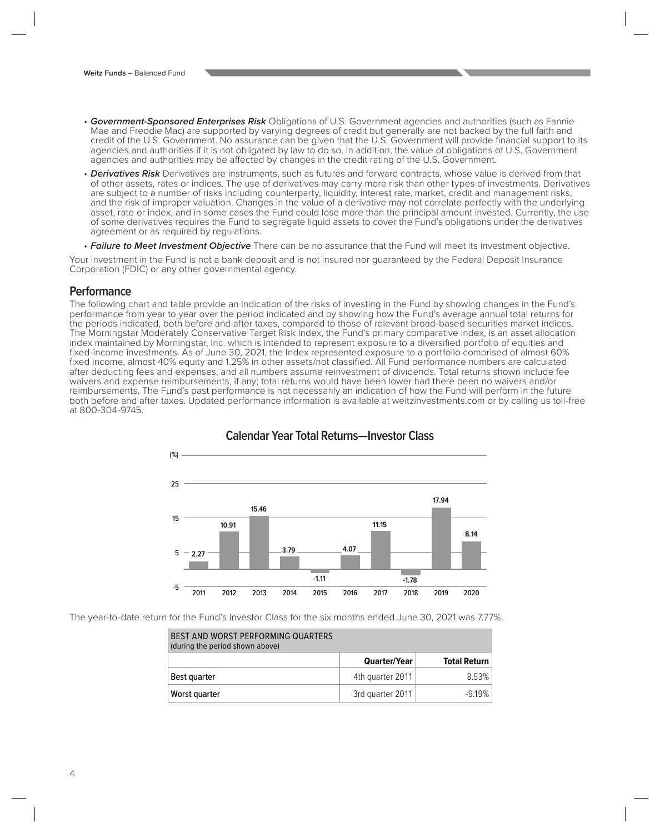- **Government-Sponsored Enterprises Risk** Obligations of U.S. Government agencies and authorities (such as Fannie Mae and Freddie Mac) are supported by varying degrees of credit but generally are not backed by the full faith and credit of the U.S. Government. No assurance can be given that the U.S. Government will provide financial support to its agencies and authorities if it is not obligated by law to do so. In addition, the value of obligations of U.S. Government agencies and authorities may be affected by changes in the credit rating of the U.S. Government.
- **Derivatives Risk** Derivatives are instruments, such as futures and forward contracts, whose value is derived from that of other assets, rates or indices. The use of derivatives may carry more risk than other types of investments. Derivatives are subject to a number of risks including counterparty, liquidity, interest rate, market, credit and management risks, and the risk of improper valuation. Changes in the value of a derivative may not correlate perfectly with the underlying asset, rate or index, and in some cases the Fund could lose more than the principal amount invested. Currently, the use of some derivatives requires the Fund to segregate liquid assets to cover the Fund's obligations under the derivatives agreement or as required by regulations.
- **Failure to Meet Investment Objective** There can be no assurance that the Fund will meet its investment objective.

Your investment in the Fund is not a bank deposit and is not insured nor guaranteed by the Federal Deposit Insurance Corporation (FDIC) or any other governmental agency.

#### **Performance**

The following chart and table provide an indication of the risks of investing in the Fund by showing changes in the Fund's performance from year to year over the period indicated and by showing how the Fund's average annual total returns for the periods indicated, both before and after taxes, compared to those of relevant broad-based securities market indices. The Morningstar Moderately Conservative Target Risk Index, the Fund's primary comparative index, is an asset allocation index maintained by Morningstar, Inc. which is intended to represent exposure to a diversified portfolio of equities and fixed-income investments. As of June 30, 2021, the Index represented exposure to a portfolio comprised of almost 60% fixed income, almost 40% equity and 1.25% in other assets/not classified. All Fund performance numbers are calculated after deducting fees and expenses, and all numbers assume reinvestment of dividends. Total returns shown include fee waivers and expense reimbursements, if any; total returns would have been lower had there been no waivers and/or reimbursements. The Fund's past performance is not necessarily an indication of how the Fund will perform in the future both before and after taxes. Updated performance information is available at weitzinvestments.com or by calling us toll-free at 800-304-9745.



# **Calendar Year Total Returns—Investor Class**

The year-to-date return for the Fund's Investor Class for the six months ended June 30, 2021 was 7.77%.

| BEST AND WORST PERFORMING QUARTERS<br>(during the period shown above) |                     |                     |
|-----------------------------------------------------------------------|---------------------|---------------------|
|                                                                       | <b>Quarter/Year</b> | <b>Total Return</b> |
| Best quarter                                                          | 4th quarter 2011    | 8.53%               |
| Worst quarter                                                         | 3rd quarter 2011    | $-9.19%$            |